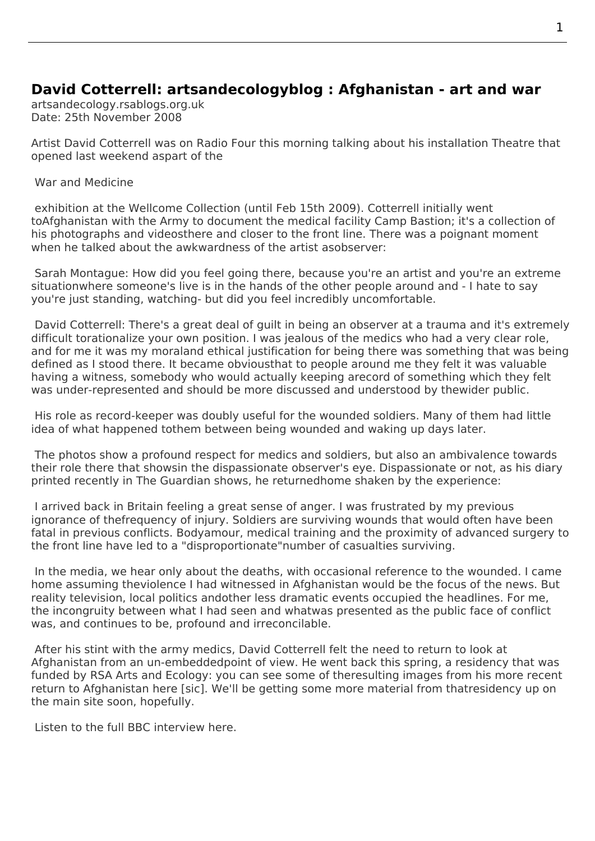## **David Cotterrell: artsandecologyblog : Afghanistan - art and war**

artsandecology.rsablogs.org.uk Date: 25th November 2008

Artist David Cotterrell was on Radio Four this morning talking about his installation Theatre that opened last weekend aspart of the

War and Medicine

 exhibition at the Wellcome Collection (until Feb 15th 2009). Cotterrell initially went toAfghanistan with the Army to document the medical facility Camp Bastion; it's a collection of [his photographs an](http://www.davidcotterrell.com/exhibitions/4192/war-and-medicine/)d videosthere and closer to the front line. There was a poignant moment when he talked about the awkwardness of the artist asobserver:

Sarah Montague: How did you feel going there, because you're an artist and you're an extreme situationwhere someone's live is in the hands of the other people around and - I hate to say you're just standing, watching- but did you feel incredibly uncomfortable.

David Cotterrell: There's a great deal of guilt in being an observer at a trauma and it's extremely difficult torationalize your own position. I was jealous of the medics who had a very clear role, and for me it was my moraland ethical justification for being there was something that was being defined as I stood there. It became obviousthat to people around me they felt it was valuable having a witness, somebody who would actually keeping arecord of something which they felt was under-represented and should be more discussed and understood by thewider public.

 His role as record-keeper was doubly useful for the wounded soldiers. Many of them had little idea of what happened tothem between being wounded and waking up days later.

 The photos show a profound respect for medics and soldiers, but also an ambivalence towards their role there that showsin the dispassionate observer's eye. Dispassionate or not, as his diary printed recently in The Guardian shows, he returnedhome shaken by the experience:

I arrived back in Britain feeling a great sense of anger. I was frustrated by my previous ignorance of thefrequency of injury. Soldiers are surviving wounds that would often have b[een](http://www.davidcotterrell.com/download/4215/david-cotterrell-aesthetic-distance/) fatal in previous conflicts. Bodyamour, medical training and the proximity of advanced surgery to the front line have led to a "disproportionate"number of casualties surviving.

In the media, we hear only about the deaths, with occasional reference to the wounded. I came home assuming theviolence I had witnessed in Afghanistan would be the focus of the news. But reality television, local politics andother less dramatic events occupied the headlines. For me, the incongruity between what I had seen and whatwas presented as the public face of conflict was, and continues to be, profound and irreconcilable.

 After his stint with the army medics, David Cotterrell felt the need to return to look at Afghanistan from an un-embeddedpoint of view. He went back this spring, a residency that was funded by RSA Arts and Ecology: you can see some of theresulting images from his more recent return to Afghanistan here [sic]. We'll be getting some more material from thatresidency up on the main site soon, hopefully.

Listen to the full BBC interview here.